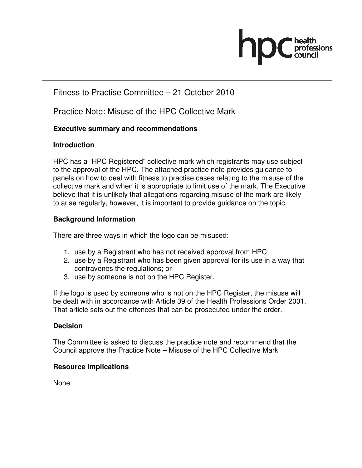# fessions

# Fitness to Practise Committee – 21 October 2010

Practice Note: Misuse of the HPC Collective Mark

# **Executive summary and recommendations**

# **Introduction**

HPC has a "HPC Registered" collective mark which registrants may use subject to the approval of the HPC. The attached practice note provides guidance to panels on how to deal with fitness to practise cases relating to the misuse of the collective mark and when it is appropriate to limit use of the mark. The Executive believe that it is unlikely that allegations regarding misuse of the mark are likely to arise regularly, however, it is important to provide guidance on the topic.

# **Background Information**

There are three ways in which the logo can be misused:

- 1. use by a Registrant who has not received approval from HPC;
- 2. use by a Registrant who has been given approval for its use in a way that contravenes the regulations; or
- 3. use by someone is not on the HPC Register.

If the logo is used by someone who is not on the HPC Register, the misuse will be dealt with in accordance with Article 39 of the Health Professions Order 2001. That article sets out the offences that can be prosecuted under the order.

## **Decision**

The Committee is asked to discuss the practice note and recommend that the Council approve the Practice Note – Misuse of the HPC Collective Mark

## **Resource implications**

None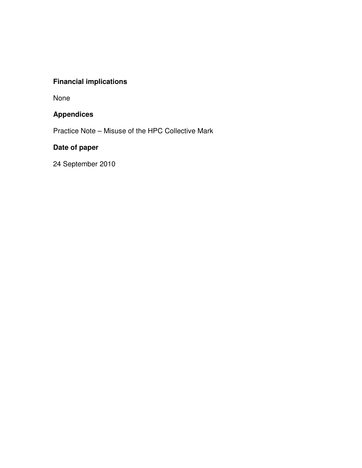# **Financial implications**

None

# **Appendices**

Practice Note – Misuse of the HPC Collective Mark

# **Date of paper**

24 September 2010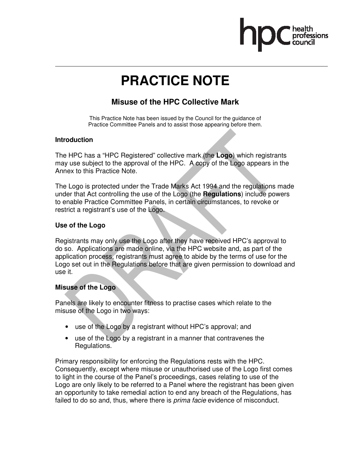

# **PRACTICE NOTE**

# **Misuse of the HPC Collective Mark**

This Practice Note has been issued by the Council for the guidance of Practice Committee Panels and to assist those appearing before them.

#### **Introduction**

The HPC has a "HPC Registered" collective mark (the **Logo**) which registrants may use subject to the approval of the HPC. A copy of the Logo appears in the Annex to this Practice Note.

The Logo is protected under the Trade Marks Act 1994 and the regulations made under that Act controlling the use of the Logo (the **Regulations**) include powers to enable Practice Committee Panels, in certain circumstances, to revoke or restrict a registrant's use of the Logo.

#### **Use of the Logo**

Registrants may only use the Logo after they have received HPC's approval to do so. Applications are made online, via the HPC website and, as part of the application process, registrants must agree to abide by the terms of use for the Logo set out in the Regulations before that are given permission to download and use it.

#### **Misuse of the Logo**

Panels are likely to encounter fitness to practise cases which relate to the misuse of the Logo in two ways:

- use of the Logo by a registrant without HPC's approval; and
- use of the Logo by a registrant in a manner that contravenes the Regulations.

Primary responsibility for enforcing the Regulations rests with the HPC. Consequently, except where misuse or unauthorised use of the Logo first comes to light in the course of the Panel's proceedings, cases relating to use of the Logo are only likely to be referred to a Panel where the registrant has been given an opportunity to take remedial action to end any breach of the Regulations, has failed to do so and, thus, where there is *prima facie* evidence of misconduct.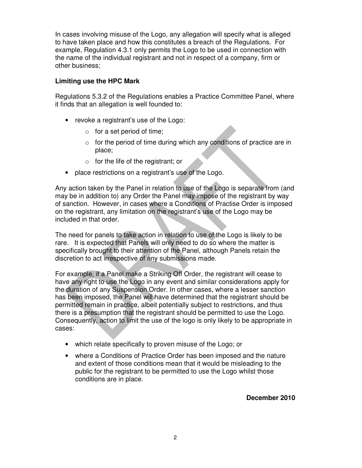In cases involving misuse of the Logo, any allegation will specify what is alleged to have taken place and how this constitutes a breach of the Regulations. For example, Regulation 4.3.1 only permits the Logo to be used in connection with the name of the individual registrant and not in respect of a company, firm or other business;

#### **Limiting use the HPC Mark**

Regulations 5.3.2 of the Regulations enables a Practice Committee Panel, where it finds that an allegation is well founded to:

- revoke a registrant's use of the Logo:
	- $\circ$  for a set period of time;
	- $\circ$  for the period of time during which any conditions of practice are in place;
	- $\circ$  for the life of the registrant; or
- place restrictions on a registrant's use of the Logo.

Any action taken by the Panel in relation to use of the Logo is separate from (and may be in addition to) any Order the Panel may impose of the registrant by way of sanction. However, in cases where a Conditions of Practise Order is imposed on the registrant, any limitation on the registrant's use of the Logo may be included in that order.

The need for panels to take action in relation to use of the Logo is likely to be rare. It is expected that Panels will only need to do so where the matter is specifically brought to their attention of the Panel, although Panels retain the discretion to act irrespective of any submissions made.

For example, if a Panel make a Striking Off Order, the registrant will cease to have any right to use the Logo in any event and similar considerations apply for the duration of any Suspension Order. In other cases, where a lesser sanction has been imposed, the Panel will have determined that the registrant should be permitted remain in practice, albeit potentially subject to restrictions, and thus there is a presumption that the registrant should be permitted to use the Logo. Consequently, action to limit the use of the logo is only likely to be appropriate in cases:

- which relate specifically to proven misuse of the Logo; or
- where a Conditions of Practice Order has been imposed and the nature and extent of those conditions mean that it would be misleading to the public for the registrant to be permitted to use the Logo whilst those conditions are in place.

**December 2010**